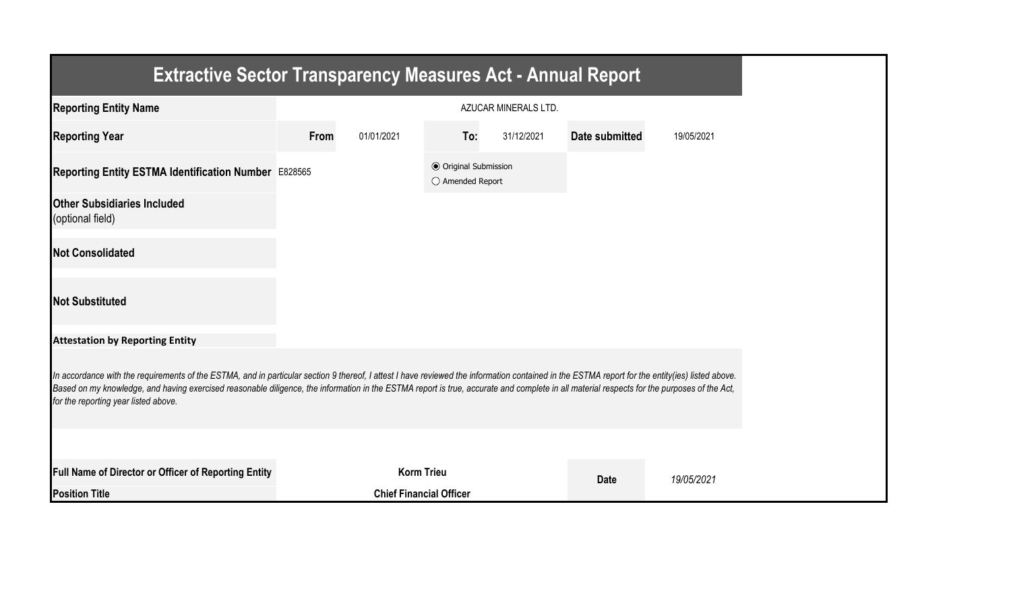| <b>Extractive Sector Transparency Measures Act - Annual Report</b>                                                                                                                                                                                                                                                                                                                                                                    |      |                                |                                                  |                      |                       |            |
|---------------------------------------------------------------------------------------------------------------------------------------------------------------------------------------------------------------------------------------------------------------------------------------------------------------------------------------------------------------------------------------------------------------------------------------|------|--------------------------------|--------------------------------------------------|----------------------|-----------------------|------------|
| <b>Reporting Entity Name</b>                                                                                                                                                                                                                                                                                                                                                                                                          |      |                                |                                                  | AZUCAR MINERALS LTD. |                       |            |
| <b>Reporting Year</b>                                                                                                                                                                                                                                                                                                                                                                                                                 | From | 01/01/2021                     | To:                                              | 31/12/2021           | <b>Date submitted</b> | 19/05/2021 |
| Reporting Entity ESTMA Identification Number E828565                                                                                                                                                                                                                                                                                                                                                                                  |      |                                | <b>◎</b> Original Submission<br>○ Amended Report |                      |                       |            |
| <b>Other Subsidiaries Included</b><br>(optional field)                                                                                                                                                                                                                                                                                                                                                                                |      |                                |                                                  |                      |                       |            |
| <b>Not Consolidated</b>                                                                                                                                                                                                                                                                                                                                                                                                               |      |                                |                                                  |                      |                       |            |
| <b>Not Substituted</b>                                                                                                                                                                                                                                                                                                                                                                                                                |      |                                |                                                  |                      |                       |            |
| <b>Attestation by Reporting Entity</b>                                                                                                                                                                                                                                                                                                                                                                                                |      |                                |                                                  |                      |                       |            |
| In accordance with the requirements of the ESTMA, and in particular section 9 thereof, I attest I have reviewed the information contained in the ESTMA report for the entity(ies) listed above.<br>Based on my knowledge, and having exercised reasonable diligence, the information in the ESTMA report is true, accurate and complete in all material respects for the purposes of the Act,<br>for the reporting year listed above. |      |                                |                                                  |                      |                       |            |
|                                                                                                                                                                                                                                                                                                                                                                                                                                       |      |                                |                                                  |                      |                       |            |
| Full Name of Director or Officer of Reporting Entity                                                                                                                                                                                                                                                                                                                                                                                  |      | <b>Korm Trieu</b>              |                                                  |                      | <b>Date</b>           | 19/05/2021 |
| <b>Position Title</b>                                                                                                                                                                                                                                                                                                                                                                                                                 |      | <b>Chief Financial Officer</b> |                                                  |                      |                       |            |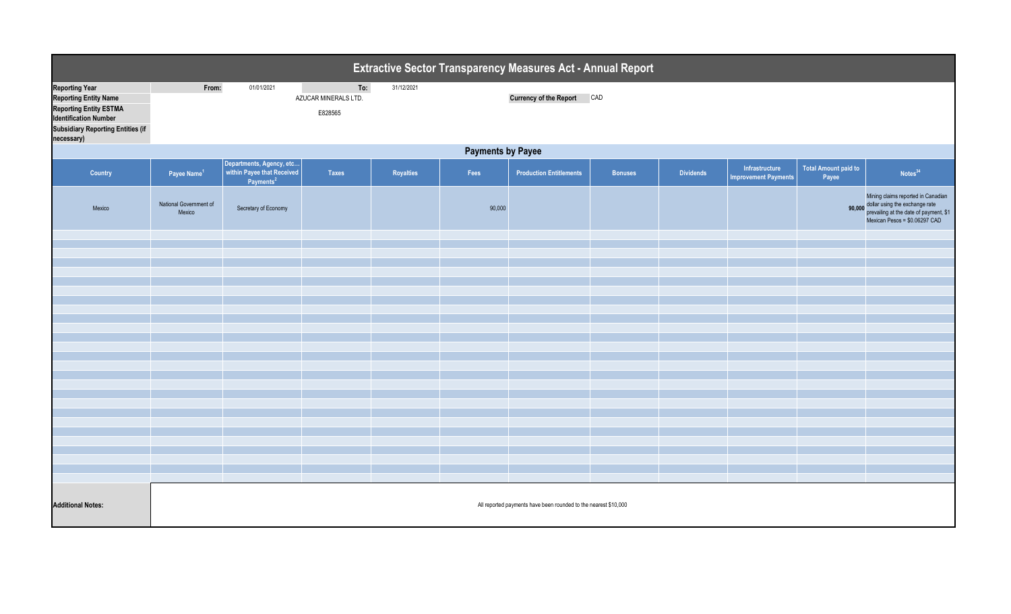| Extractive Sector Transparency Measures Act - Annual Report                                                                                                                      |                                  |                                                   |                                        |            |                          |                                                                 |                |                  |                                               |                                      |                                                                                                                                                 |
|----------------------------------------------------------------------------------------------------------------------------------------------------------------------------------|----------------------------------|---------------------------------------------------|----------------------------------------|------------|--------------------------|-----------------------------------------------------------------|----------------|------------------|-----------------------------------------------|--------------------------------------|-------------------------------------------------------------------------------------------------------------------------------------------------|
| <b>Reporting Year</b><br><b>Reporting Entity Name</b><br><b>Reporting Entity ESTMA</b><br><b>Identification Number</b><br><b>Subsidiary Reporting Entities (if</b><br>necessary) | From:                            | 01/01/2021                                        | To:<br>AZUCAR MINERALS LTD.<br>E828565 | 31/12/2021 |                          | <b>Currency of the Report CAD</b>                               |                |                  |                                               |                                      |                                                                                                                                                 |
|                                                                                                                                                                                  |                                  |                                                   |                                        |            | <b>Payments by Payee</b> |                                                                 |                |                  |                                               |                                      |                                                                                                                                                 |
| Country                                                                                                                                                                          | Payee Name <sup>1</sup>          | Departments, Agency, etc<br>Parments <sup>2</sup> | Taxes                                  | Royalties  | Fees                     | <b>Production Entitlements</b>                                  | <b>Bonuses</b> | <b>Dividends</b> | Infrastructure<br><b>Improvement Payments</b> | <b>Total Amount paid to</b><br>Payee | Notes <sup>34</sup>                                                                                                                             |
| Mexico                                                                                                                                                                           | National Government of<br>Mexico | Secretary of Economy                              |                                        |            | 90,000                   |                                                                 |                |                  |                                               | 90,000                               | Mining claims reported in Canadian<br>dollar using the exchange rate<br>prevailing at the date of payment, \$1<br>Mexican Pesos = \$0.06297 CAD |
|                                                                                                                                                                                  |                                  |                                                   |                                        |            |                          |                                                                 |                |                  |                                               |                                      |                                                                                                                                                 |
|                                                                                                                                                                                  |                                  |                                                   |                                        |            |                          |                                                                 |                |                  |                                               |                                      |                                                                                                                                                 |
|                                                                                                                                                                                  |                                  |                                                   |                                        |            |                          |                                                                 |                |                  |                                               |                                      |                                                                                                                                                 |
|                                                                                                                                                                                  |                                  |                                                   |                                        |            |                          |                                                                 |                |                  |                                               |                                      |                                                                                                                                                 |
|                                                                                                                                                                                  |                                  |                                                   |                                        |            |                          |                                                                 |                |                  |                                               |                                      |                                                                                                                                                 |
|                                                                                                                                                                                  |                                  |                                                   |                                        |            |                          |                                                                 |                |                  |                                               |                                      |                                                                                                                                                 |
|                                                                                                                                                                                  |                                  |                                                   |                                        |            |                          |                                                                 |                |                  |                                               |                                      |                                                                                                                                                 |
|                                                                                                                                                                                  |                                  |                                                   |                                        |            |                          |                                                                 |                |                  |                                               |                                      |                                                                                                                                                 |
|                                                                                                                                                                                  |                                  |                                                   |                                        |            |                          |                                                                 |                |                  |                                               |                                      |                                                                                                                                                 |
|                                                                                                                                                                                  |                                  |                                                   |                                        |            |                          |                                                                 |                |                  |                                               |                                      |                                                                                                                                                 |
|                                                                                                                                                                                  |                                  |                                                   |                                        |            |                          |                                                                 |                |                  |                                               |                                      |                                                                                                                                                 |
|                                                                                                                                                                                  |                                  |                                                   |                                        |            |                          |                                                                 |                |                  |                                               |                                      |                                                                                                                                                 |
|                                                                                                                                                                                  |                                  |                                                   |                                        |            |                          |                                                                 |                |                  |                                               |                                      |                                                                                                                                                 |
|                                                                                                                                                                                  |                                  |                                                   |                                        |            |                          |                                                                 |                |                  |                                               |                                      |                                                                                                                                                 |
|                                                                                                                                                                                  |                                  |                                                   |                                        |            |                          |                                                                 |                |                  |                                               |                                      |                                                                                                                                                 |
|                                                                                                                                                                                  |                                  |                                                   |                                        |            |                          |                                                                 |                |                  |                                               |                                      |                                                                                                                                                 |
|                                                                                                                                                                                  |                                  |                                                   |                                        |            |                          |                                                                 |                |                  |                                               |                                      |                                                                                                                                                 |
|                                                                                                                                                                                  |                                  |                                                   |                                        |            |                          |                                                                 |                |                  |                                               |                                      |                                                                                                                                                 |
|                                                                                                                                                                                  |                                  |                                                   |                                        |            |                          |                                                                 |                |                  |                                               |                                      |                                                                                                                                                 |
| <b>Additional Notes:</b>                                                                                                                                                         |                                  |                                                   |                                        |            |                          | All reported payments have been rounded to the nearest \$10,000 |                |                  |                                               |                                      |                                                                                                                                                 |